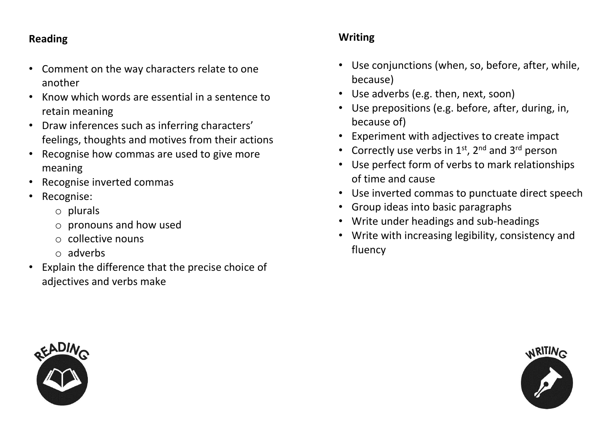#### **Reading**

- Comment on the way characters relate to one another
- Know which words are essential in a sentence to retain meaning
- Draw inferences such as inferring characters' feelings, thoughts and motives from their actions
- Recognise how commas are used to give more meaning
- Recognise inverted commas
- Recognise:
	- o plurals
	- o pronouns and how used
	- o collective nouns
	- o adverbs
- Explain the difference that the precise choice of adjectives and verbs make

### **Writing**

- Use conjunctions (when, so, before, after, while, because)
- Use adverbs (e.g. then, next, soon)
- Use prepositions (e.g. before, after, during, in, because of)
- Experiment with adjectives to create impact
- Correctly use verbs in  $1<sup>st</sup>$ ,  $2<sup>nd</sup>$  and  $3<sup>rd</sup>$  person
- Use perfect form of verbs to mark relationships of time and cause
- Use inverted commas to punctuate direct speech
- Group ideas into basic paragraphs
- Write under headings and sub-headings
- Write with increasing legibility, consistency and fluency